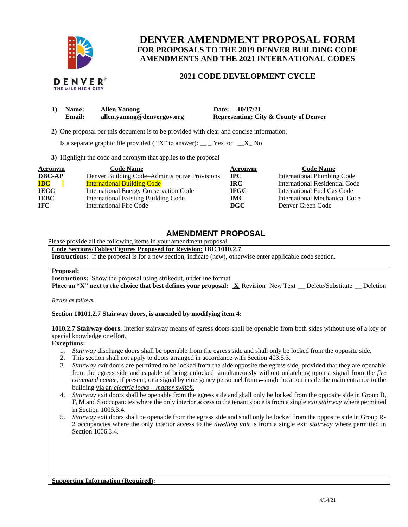

THE MILE HIGH CITY

**DENVER AMENDMENT PROPOSAL FORM FOR PROPOSALS TO THE 2019 DENVER BUILDING CODE AMENDMENTS AND THE 2021 INTERNATIONAL CODES**

## **2021 CODE DEVELOPMENT CYCLE**

| 1) Name:      | <b>Allen Yanong</b>        | Date: 10/17/21                                   |
|---------------|----------------------------|--------------------------------------------------|
| <b>Email:</b> | allen.yanong@denvergov.org | <b>Representing: City &amp; County of Denver</b> |

 **2)** One proposal per this document is to be provided with clear and concise information.

Is a separate graphic file provided ("X" to answer):  $\_\_$  Yes or  $\_\_X$  No

**3)** Highlight the code and acronym that applies to the proposal

| Acronym       | <b>Code Name</b>                               | Acronym     | <b>Code Name</b>                   |
|---------------|------------------------------------------------|-------------|------------------------------------|
| <b>DBC-AP</b> | Denver Building Code–Administrative Provisions | <b>IPC</b>  | <b>International Plumbing Code</b> |
| <b>IBC</b>    | <b>International Building Code</b>             | <b>IRC</b>  | International Residential Code     |
| <b>IECC</b>   | International Energy Conservation Code         | <b>IFGC</b> | International Fuel Gas Code        |
| <b>IEBC</b>   | <b>International Existing Building Code</b>    | <b>IMC</b>  | International Mechanical Code      |
| <b>IFC</b>    | International Fire Code                        | DGC         | Denver Green Code                  |

# **AMENDMENT PROPOSAL**

Please provide all the following items in your amendment proposal.

**Code Sections/Tables/Figures Proposed for Revision: IBC 1010.2.7 Instructions:** If the proposal is for a new section, indicate (new), otherwise enter applicable code section.

#### **Proposal:**

**Instructions:** Show the proposal using strikeout, underline format.

**Place an "X" next to the choice that best defines your proposal: X Revision New Text \_\_ Delete/Substitute \_\_ Deletion** 

*Revise as follows.*

#### **Section 10101.2.7 Stairway doors, is amended by modifying item 4:**

**1010.2.7 Stairway doors.** Interior stairway means of egress doors shall be openable from both sides without use of a key or special knowledge or effort.

### **Exceptions:**

- 1. *Stairway* discharge doors shall be openable from the egress side and shall only be locked from the opposite side.
- 2. This section shall not apply to doors arranged in accordance with Section 403.5.3.
- 3. *Stairway exit* doors are permitted to be locked from the side opposite the egress side, provided that they are openable from the egress side and capable of being unlocked simultaneously without unlatching upon a signal from the *fire command center*, if present, or a signal by emergency personnel from  $\alpha$ -single location inside the main entrance to the building via an *electric locks – master switch*.
- 4. *Stairway* exit doors shall be openable from the egress side and shall only be locked from the opposite side in Group B, F, M and S occupancies where the only interior access to the tenant space is from a single *exit stairway* where permitted in Section 1006.3.4.
- 5. *Stairway* exit doors shall be openable from the egress side and shall only be locked from the opposite side in Group R-2 occupancies where the only interior access to the *dwelling unit* is from a single exit *stairway* where permitted in Section 1006.3.4.

**Supporting Information (Required):**